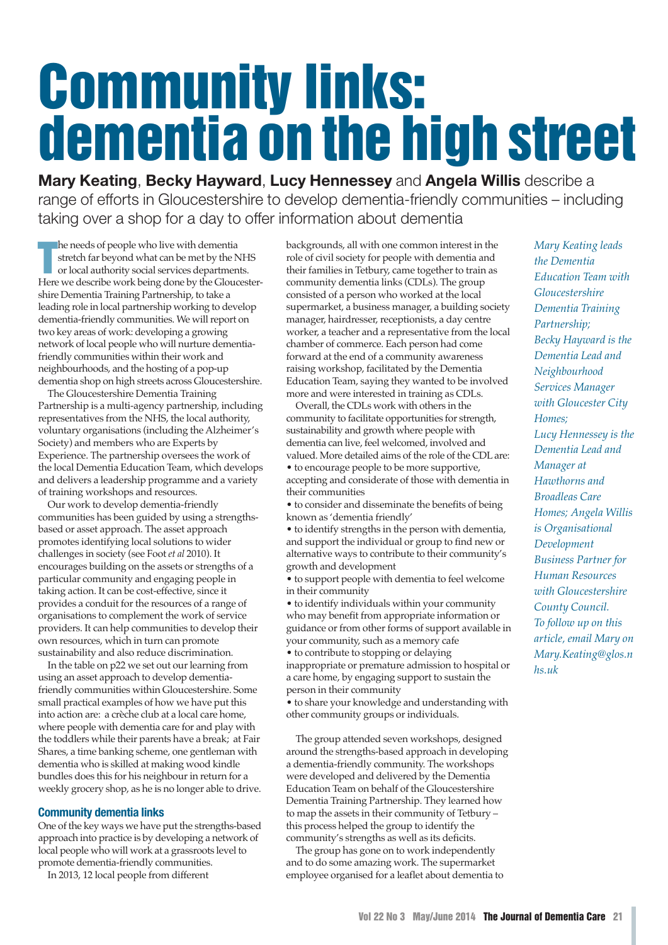# **Community links: dementia on the high street**

**Mary Keating**, **Becky Hayward**, **Lucy Hennessey** and **Angela Willis** describe a range of efforts in Gloucestershire to develop dementia-friendly communities – including taking over a shop for a day to offer information about dementia

**The needs of people who live with dementia**<br> **The stretch far beyond what can be met by the NHS**<br>
or local authority social services departments.<br>
Here we describe work being done by the Gloucesterhe needs of people who live with dementia stretch far beyond what can be met by the NHS or local authority social services departments. shire Dementia Training Partnership, to take a leading role in local partnership working to develop dementia-friendly communities. We will report on two key areas of work: developing a growing network of local people who will nurture dementiafriendly communities within their work and neighbourhoods, and the hosting of a pop-up dementia shop on high streets across Gloucestershire.

The Gloucestershire Dementia Training Partnership is a multi-agency partnership, including representatives from the NHS, the local authority, voluntary organisations (including the Alzheimer's Society) and members who are Experts by Experience. The partnership oversees the work of the local Dementia Education Team, which develops and delivers a leadership programme and a variety of training workshops and resources.

Our work to develop dementia-friendly communities has been guided by using a strengthsbased or asset approach. The asset approach promotes identifying local solutions to wider challenges in society (see Foot *et al* 2010). It encourages building on the assets or strengths of a particular community and engaging people in taking action. It can be cost-effective, since it provides a conduit for the resources of a range of organisations to complement the work of service providers. It can help communities to develop their own resources, which in turn can promote sustainability and also reduce discrimination.

In the table on p22 we set out our learning from using an asset approach to develop dementiafriendly communities within Gloucestershire. Some small practical examples of how we have put this into action are: a crèche club at a local care home, where people with dementia care for and play with the toddlers while their parents have a break; at Fair Shares, a time banking scheme, one gentleman with dementia who is skilled at making wood kindle bundles does this for his neighbour in return for a weekly grocery shop, as he is no longer able to drive.

# **Community dementia links**

One of the key ways we have put the strengths-based approach into practice is by developing a network of local people who will work at a grassroots level to promote dementia-friendly communities.

In 2013, 12 local people from different

backgrounds, all with one common interest in the role of civil society for people with dementia and their families in Tetbury, came together to train as community dementia links (CDLs). The group consisted of a person who worked at the local supermarket, a business manager, a building society manager, hairdresser, receptionists, a day centre worker, a teacher and a representative from the local chamber of commerce. Each person had come forward at the end of a community awareness raising workshop, facilitated by the Dementia Education Team, saying they wanted to be involved more and were interested in training as CDLs.

Overall, the CDLs work with others in the community to facilitate opportunities for strength, sustainability and growth where people with dementia can live, feel welcomed, involved and valued. More detailed aims of the role of the CDLare: • to encourage people to be more supportive, accepting and considerate of those with dementia in their communities

• to consider and disseminate the benefits of being known as 'dementia friendly'

• to identify strengths in the person with dementia, and support the individual or group to find new or alternative ways to contribute to their community's growth and development

• to support people with dementia to feel welcome in their community

• to identify individuals within your community who may benefit from appropriate information or guidance or from other forms of support available in your community, such as a memory cafe

• to contribute to stopping or delaying inappropriate or premature admission to hospital or a care home, by engaging support to sustain the person in their community

• to share your knowledge and understanding with other community groups or individuals.

The group attended seven workshops, designed around the strengths-based approach in developing a dementia-friendly community. The workshops were developed and delivered by the Dementia Education Team on behalf of the Gloucestershire Dementia Training Partnership. They learned how to map the assets in their community of Tetbury – this process helped the group to identify the community's strengths as well as its deficits.

The group has gone on to work independently and to do some amazing work. The supermarket employee organised for a leaflet about dementia to *Mary Keating leads the Dementia Education Team with Gloucestershire Dementia Training Partnership; Becky Hayward is the Dementia Lead and Neighbourhood Services Manager with Gloucester City Homes; Lucy Hennessey is the Dementia Lead and Manager at Hawthorns and Broadleas Care Homes; Angela Willis is Organisational Development Business Partner for Human Resources with Gloucestershire County Council. To follow up on this article, email Mary on Mary.Keating@glos.n hs.uk*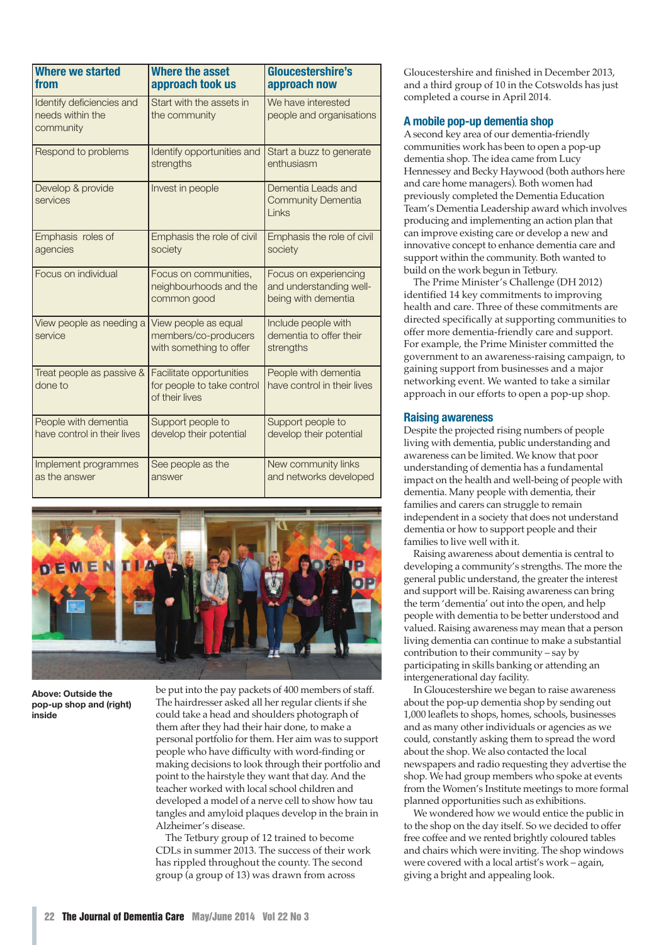| <b>Where we started</b><br>from                            | <b>Where the asset</b><br>approach took us                               | Gloucestershire's<br>approach now                                       |
|------------------------------------------------------------|--------------------------------------------------------------------------|-------------------------------------------------------------------------|
| Identify deficiencies and<br>needs within the<br>community | Start with the assets in<br>the community                                | We have interested<br>people and organisations                          |
| Respond to problems                                        | Identify opportunities and<br>strengths                                  | Start a buzz to generate<br>enthusiasm                                  |
| Develop & provide<br>services                              | Invest in people                                                         | Dementia Leads and<br><b>Community Dementia</b><br>Links                |
| Emphasis roles of<br>agencies                              | Emphasis the role of civil<br>society                                    | Emphasis the role of civil<br>society                                   |
| Focus on individual                                        | Focus on communities,<br>neighbourhoods and the<br>common good           | Focus on experiencing<br>and understanding well-<br>being with dementia |
| View people as needing a<br>service                        | View people as equal<br>members/co-producers<br>with something to offer  | Include people with<br>dementia to offer their<br>strengths             |
| Treat people as passive &<br>done to                       | Facilitate opportunities<br>for people to take control<br>of their lives | People with dementia<br>have control in their lives                     |
| People with dementia<br>have control in their lives        | Support people to<br>develop their potential                             | Support people to<br>develop their potential                            |
| Implement programmes<br>as the answer                      | See people as the<br>answer                                              | New community links<br>and networks developed                           |



**Above: Outside the pop-up shop and (right) inside**

be put into the pay packets of 400 members of staff. The hairdresser asked all her regular clients if she could take a head and shoulders photograph of them after they had their hair done, to make a personal portfolio for them. Her aim was to support people who have difficulty with word-finding or making decisions to look through their portfolio and point to the hairstyle they want that day. And the teacher worked with local school children and developed a model of a nerve cell to show how tau tangles and amyloid plaques develop in the brain in Alzheimer's disease.

The Tetbury group of 12 trained to become CDLs in summer 2013. The success of their work has rippled throughout the county. The second group (a group of 13) was drawn from across

Gloucestershire and finished in December 2013, and a third group of 10 in the Cotswolds has just completed a course in April 2014.

# **A mobile pop-up dementia shop**

Asecond key area of our dementia-friendly communities work has been to open a pop-up dementia shop. The idea came from Lucy Hennessey and Becky Haywood (both authors here and care home managers). Both women had previously completed the Dementia Education Team's Dementia Leadership award which involves producing and implementing an action plan that can improve existing care or develop a new and innovative concept to enhance dementia care and support within the community. Both wanted to build on the work begun in Tetbury.

The Prime Minister's Challenge (DH 2012) identified 14 key commitments to improving health and care. Three of these commitments are directed specifically at supporting communities to offer more dementia-friendly care and support. For example, the Prime Minister committed the government to an awareness-raising campaign, to gaining support from businesses and a major networking event. We wanted to take a similar approach in our efforts to open a pop-up shop.

# **Raising awareness**

Despite the projected rising numbers of people living with dementia, public understanding and awareness can be limited. We know that poor understanding of dementia has a fundamental impact on the health and well-being of people with dementia. Many people with dementia, their families and carers can struggle to remain independent in a society that does not understand dementia or how to support people and their families to live well with it.

Raising awareness about dementia is central to developing a community's strengths. The more the general public understand, the greater the interest and support will be. Raising awareness can bring the term 'dementia' out into the open, and help people with dementia to be better understood and valued. Raising awareness may mean that a person living dementia can continue to make a substantial contribution to their community – say by participating in skills banking or attending an intergenerational day facility.

In Gloucestershire we began to raise awareness about the pop-up dementia shop by sending out 1,000 leaflets to shops, homes, schools, businesses and as many other individuals or agencies as we could, constantly asking them to spread the word about the shop. We also contacted the local newspapers and radio requesting they advertise the shop. We had group members who spoke at events from the Women's Institute meetings to more formal planned opportunities such as exhibitions.

We wondered how we would entice the public in to the shop on the day itself. So we decided to offer free coffee and we rented brightly coloured tables and chairs which were inviting. The shop windows were covered with a local artist's work – again, giving a bright and appealing look.